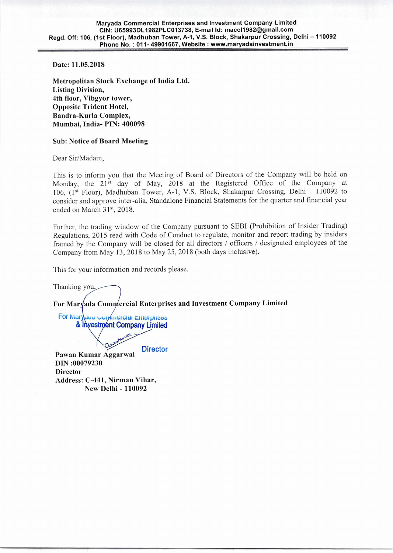Date: 11.05.2018

Metropolitan Stock Exchange of India Ltd. Listing Division, 4th floor, Vibgyor tower, Opposite Trident Hotel, Bandra-Kurla Complex, Mumbai, India- PIN: 400098

## Sub: Notice of Board Meeting

Dear Sir/Madam,

This is to inform you that the Meeting of Board of Directors of the Company will be held on Monday, the 21<sup>st</sup> day of May, 2018 at the Registered Office of the Company at 106, (1<sup>st</sup> Floor), Madhuban Tower, A-1, V.S. Block, Shakarpur Crossing, Delhi - 110092 to consider and approve inter-alia, Standalone Financial Statements for the quarter and financial year ended on March 31st, 2018.

Further, the trading window of the Company pursuant to SEBI (Prohibition of Insider Trading) Regulations, 2015 read with Code of Conduct to regulate, monitor and report trading by insiders framed by the Company will be closed for all directors / officers / designated employees of the Company from May 13, 2018 to May 25, 2018 (both days inclusive).

This for your information and records please.

Thanking you

For Maryada Commercial Enterprises and Investment Company Limited

For Mary aud Conviniercial Enterprises **& Investment Company Limited** 

Pawan Kumar Aggarwal DIN :00079230 Director Address: C-441, Nirman Vihar, New Delhi - 110092 **Director**